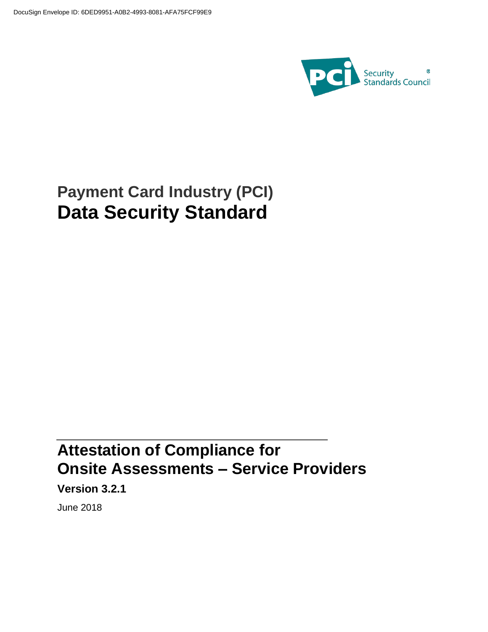

# **Payment Card Industry (PCI) Data Security Standard**

# **Attestation of Compliance for Onsite Assessments – Service Providers**

**Version 3.2.1**

June 2018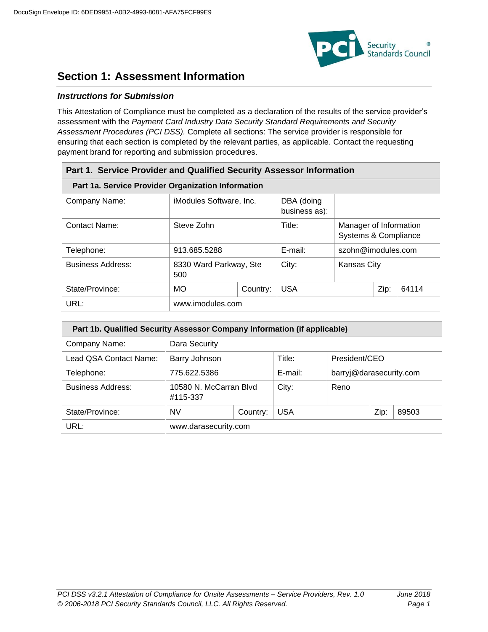

## **Section 1: Assessment Information**

### *Instructions for Submission*

This Attestation of Compliance must be completed as a declaration of the results of the service provider's assessment with the *Payment Card Industry Data Security Standard Requirements and Security Assessment Procedures (PCI DSS).* Complete all sections: The service provider is responsible for ensuring that each section is completed by the relevant parties, as applicable. Contact the requesting payment brand for reporting and submission procedures.

| Part 1. Service Provider and Qualified Security Assessor Information |                                                    |                                                               |            |                                                |      |       |  |
|----------------------------------------------------------------------|----------------------------------------------------|---------------------------------------------------------------|------------|------------------------------------------------|------|-------|--|
|                                                                      | Part 1a. Service Provider Organization Information |                                                               |            |                                                |      |       |  |
| Company Name:                                                        |                                                    | DBA (doing<br><i>iModules Software, Inc.</i><br>business as): |            |                                                |      |       |  |
| Contact Name:                                                        | Steve Zohn                                         |                                                               | Title:     | Manager of Information<br>Systems & Compliance |      |       |  |
| Telephone:                                                           | 913.685.5288                                       |                                                               | E-mail:    | szohn@imodules.com                             |      |       |  |
| <b>Business Address:</b>                                             | 8330 Ward Parkway, Ste<br>500                      |                                                               | City:      | <b>Kansas City</b>                             |      |       |  |
| State/Province:                                                      | <b>MO</b><br>Country:                              |                                                               | <b>USA</b> |                                                | Zip: | 64114 |  |
| URL:                                                                 | www.imodules.com                                   |                                                               |            |                                                |      |       |  |

| Part 1b. Qualified Security Assessor Company Information (if applicable) |                                    |  |            |                         |      |       |
|--------------------------------------------------------------------------|------------------------------------|--|------------|-------------------------|------|-------|
| Company Name:                                                            | Dara Security                      |  |            |                         |      |       |
| Lead QSA Contact Name:                                                   | Barry Johnson                      |  | Title:     | President/CEO           |      |       |
| Telephone:                                                               | 775.622.5386                       |  | E-mail:    | barryj@darasecurity.com |      |       |
| <b>Business Address:</b>                                                 | 10580 N. McCarran Blvd<br>#115-337 |  | City:      | Reno                    |      |       |
| State/Province:                                                          | <b>NV</b><br>Country:              |  | <b>USA</b> |                         | Zip: | 89503 |
| URL:                                                                     | www.darasecurity.com               |  |            |                         |      |       |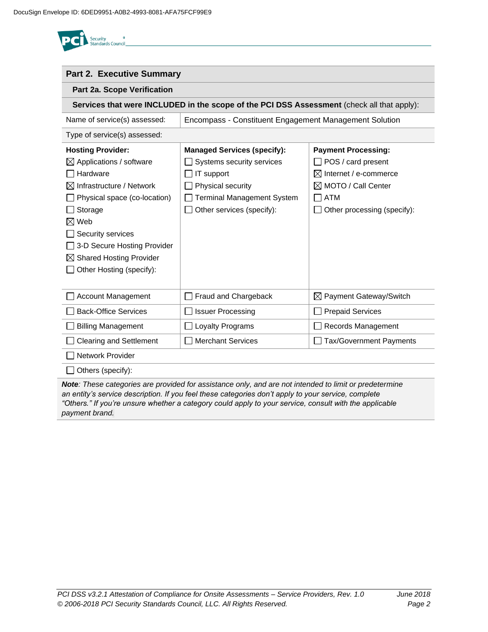| <b>Security</b>          |  |
|--------------------------|--|
| <b>Standards Council</b> |  |

*payment brand.* 

| <b>Part 2. Executive Summary</b>    |                                                                                                        |                                    |  |  |  |
|-------------------------------------|--------------------------------------------------------------------------------------------------------|------------------------------------|--|--|--|
| Part 2a. Scope Verification         |                                                                                                        |                                    |  |  |  |
|                                     | Services that were INCLUDED in the scope of the PCI DSS Assessment (check all that apply):             |                                    |  |  |  |
| Name of service(s) assessed:        | Encompass - Constituent Engagement Management Solution                                                 |                                    |  |  |  |
| Type of service(s) assessed:        |                                                                                                        |                                    |  |  |  |
| <b>Hosting Provider:</b>            | <b>Managed Services (specify):</b>                                                                     | <b>Payment Processing:</b>         |  |  |  |
| $\boxtimes$ Applications / software | Systems security services                                                                              | POS / card present                 |  |  |  |
| Hardware                            | IT support                                                                                             | $\boxtimes$ Internet / e-commerce  |  |  |  |
| Infrastructure / Network            | Physical security                                                                                      | $\boxtimes$ MOTO / Call Center     |  |  |  |
| Physical space (co-location)        | <b>Terminal Management System</b>                                                                      | <b>ATM</b>                         |  |  |  |
| Storage                             | Other services (specify):                                                                              | Other processing (specify):        |  |  |  |
| $\boxtimes$ Web                     |                                                                                                        |                                    |  |  |  |
| Security services                   |                                                                                                        |                                    |  |  |  |
| 3-D Secure Hosting Provider         |                                                                                                        |                                    |  |  |  |
| <b>Shared Hosting Provider</b>      |                                                                                                        |                                    |  |  |  |
| Other Hosting (specify):            |                                                                                                        |                                    |  |  |  |
|                                     |                                                                                                        |                                    |  |  |  |
| <b>Account Management</b>           | Fraud and Chargeback                                                                                   | $\boxtimes$ Payment Gateway/Switch |  |  |  |
| <b>Back-Office Services</b>         | <b>Issuer Processing</b>                                                                               | <b>Prepaid Services</b>            |  |  |  |
| <b>Billing Management</b>           | Loyalty Programs                                                                                       | Records Management                 |  |  |  |
| <b>Clearing and Settlement</b>      | <b>Merchant Services</b>                                                                               | <b>Tax/Government Payments</b>     |  |  |  |
| Network Provider                    |                                                                                                        |                                    |  |  |  |
| Others (specify):                   |                                                                                                        |                                    |  |  |  |
|                                     | Note: These categories are provided for assistance only, and are not intended to limit or predetermine |                                    |  |  |  |

*an entity's service description. If you feel these categories don't apply to your service, complete "Others." If you're unsure whether a category could apply to your service, consult with the applicable*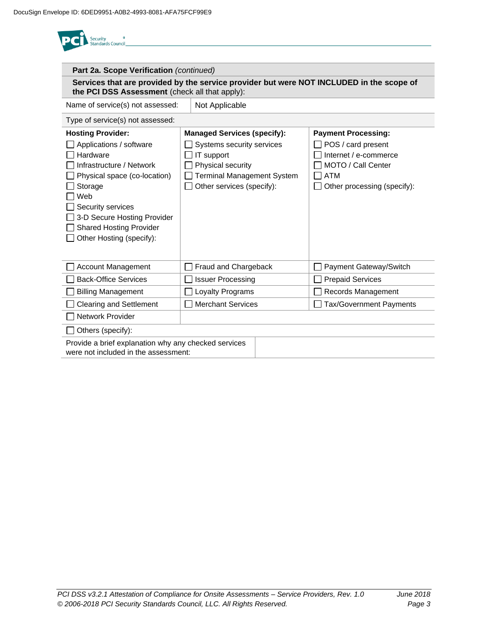<sup>®</sup><br>Standards Council **Part 2a. Scope Verification** *(continued)* **Services that are provided by the service provider but were NOT INCLUDED in the scope of the PCI DSS Assessment** (check all that apply): Name of service(s) not assessed:  $\vert$  Not Applicable Type of service(s) not assessed: **Hosting Provider: Managed Services (specify): Payment Processing:** Applications / software  $\Box$  Systems security services POS / card present  $\Box$  Hardware  $\Box$  IT support Internet / e-commerce  $\Box$  Infrastructure / Network  $\Box$  Physical security □ MOTO / Call Center  $\Box$  Physical space (co-location) □ Terminal Management System  $\Box$  ATM □ Storage  $\Box$  Other services (specify):  $\Box$  Other processing (specify): Web  $\Box$  Security services □ 3-D Secure Hosting Provider □ Shared Hosting Provider  $\Box$  Other Hosting (specify): □ Account Management Fraud and Chargeback Fraud Payment Gateway/Switch  $\Box$  Back-Office Services  $\Box$  Issuer Processing  $\Box$  Prepaid Services □ Billing Management **Loyalty Programs** Records Management □ Clearing and Settlement Merchant Services Tax/Government Payments □ Network Provider  $\Box$  Others (specify): Provide a brief explanation why any checked services were not included in the assessment: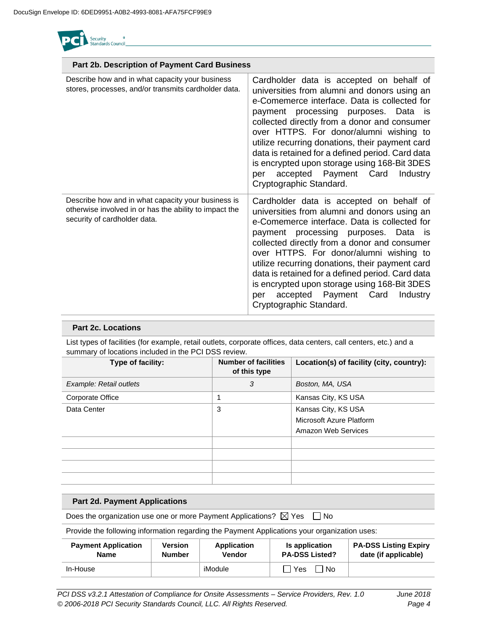

| Part 2b. Description of Payment Card Business                                                                                                |                                                                                                                                                                                                                                                                                                                                                                                                                                                                                                           |
|----------------------------------------------------------------------------------------------------------------------------------------------|-----------------------------------------------------------------------------------------------------------------------------------------------------------------------------------------------------------------------------------------------------------------------------------------------------------------------------------------------------------------------------------------------------------------------------------------------------------------------------------------------------------|
| Describe how and in what capacity your business<br>stores, processes, and/or transmits cardholder data.                                      | Cardholder data is accepted on behalf of<br>universities from alumni and donors using an<br>e-Comemerce interface. Data is collected for<br>payment processing purposes. Data is<br>collected directly from a donor and consumer<br>over HTTPS. For donor/alumni wishing to<br>utilize recurring donations, their payment card<br>data is retained for a defined period. Card data<br>is encrypted upon storage using 168-Bit 3DES<br>accepted Payment Card<br>Industry<br>per<br>Cryptographic Standard. |
| Describe how and in what capacity your business is<br>otherwise involved in or has the ability to impact the<br>security of cardholder data. | Cardholder data is accepted on behalf of<br>universities from alumni and donors using an<br>e-Comemerce interface. Data is collected for<br>payment processing purposes. Data is<br>collected directly from a donor and consumer<br>over HTTPS. For donor/alumni wishing to<br>utilize recurring donations, their payment card<br>data is retained for a defined period. Card data<br>is encrypted upon storage using 168-Bit 3DES<br>accepted Payment Card<br>Industry<br>per<br>Cryptographic Standard. |

### **Part 2c. Locations**

List types of facilities (for example, retail outlets, corporate offices, data centers, call centers, etc.) and a summary of locations included in the PCI DSS review.

| Type of facility:       | <b>Number of facilities</b><br>of this type | Location(s) of facility (city, country):                               |
|-------------------------|---------------------------------------------|------------------------------------------------------------------------|
| Example: Retail outlets | 3                                           | Boston, MA, USA                                                        |
| Corporate Office        |                                             | Kansas City, KS USA                                                    |
| Data Center             | 3                                           | Kansas City, KS USA<br>Microsoft Azure Platform<br>Amazon Web Services |
|                         |                                             |                                                                        |

### **Part 2d. Payment Applications**

Does the organization use one or more Payment Applications?  $\boxtimes$  Yes  $\Box$  No

Provide the following information regarding the Payment Applications your organization uses:

| <b>Payment Application</b> | Version       | Application | <b>Is application</b>   | <b>PA-DSS Listing Expiry</b> |
|----------------------------|---------------|-------------|-------------------------|------------------------------|
| <b>Name</b>                | <b>Number</b> | Vendor      | <b>PA-DSS Listed?</b>   | date (if applicable)         |
| In-House                   |               | iModule     | $\Box$ Yes<br><b>No</b> |                              |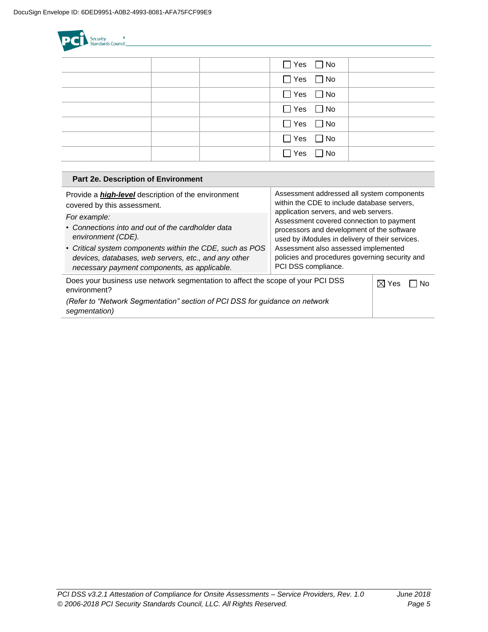Security<br>Standards Council  $\Box$  Yes  $\Box$  No  $\Box$  Yes  $\Box$  No  $\Box$  Yes  $\Box$  No  $\Box$  Yes  $\Box$  No  $\Box$  Yes  $\Box$  No  $\Box$  Yes  $\Box$  No  $\Box$  Yes  $\Box$  No

| Assessment addressed all system components<br>Provide a <i>high-level</i> description of the environment                                                                                                                                                                                                                                                                                                                                                                                                                                                           |             |
|--------------------------------------------------------------------------------------------------------------------------------------------------------------------------------------------------------------------------------------------------------------------------------------------------------------------------------------------------------------------------------------------------------------------------------------------------------------------------------------------------------------------------------------------------------------------|-------------|
| within the CDE to include database servers.<br>covered by this assessment.                                                                                                                                                                                                                                                                                                                                                                                                                                                                                         |             |
| application servers, and web servers.<br>For example:<br>Assessment covered connection to payment<br>• Connections into and out of the cardholder data<br>processors and development of the software<br>environment (CDE).<br>used by iModules in delivery of their services.<br>• Critical system components within the CDE, such as POS<br>Assessment also assessed implemented<br>policies and procedures governing security and<br>devices, databases, web servers, etc., and any other<br>PCI DSS compliance.<br>necessary payment components, as applicable. |             |
| Does your business use network segmentation to affect the scope of your PCI DSS<br>environment?                                                                                                                                                                                                                                                                                                                                                                                                                                                                    | ⊠ Yes<br>Nο |
| (Refer to "Network Segmentation" section of PCI DSS for guidance on network<br>segmentation)                                                                                                                                                                                                                                                                                                                                                                                                                                                                       |             |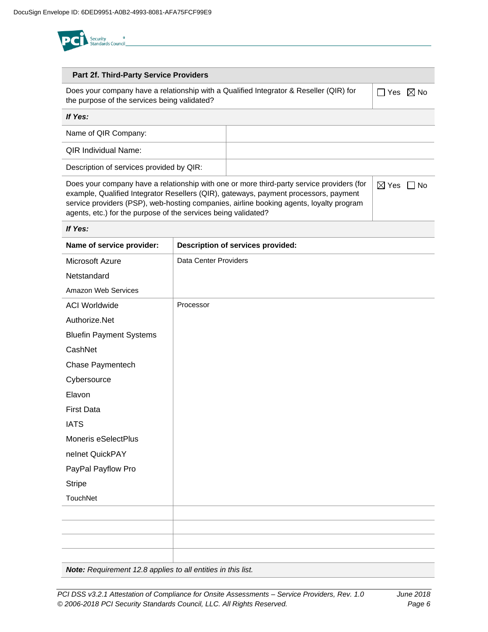

#### **Part 2f. Third-Party Service Providers**

Does your company have a relationship with a Qualified Integrator & Reseller (QIR) for the purpose of the services being validated?

 $\Box$  Yes  $\boxtimes$  No

| If Yes:                                  |  |
|------------------------------------------|--|
| Name of QIR Company:                     |  |
| <b>QIR Individual Name:</b>              |  |
| Description of services provided by QIR: |  |

| Does your company have a relationship with one or more third-party service providers (for | . ⊠ Yes | l INo |
|-------------------------------------------------------------------------------------------|---------|-------|
| example, Qualified Integrator Resellers (QIR), gateways, payment processors, payment      |         |       |
| service providers (PSP), web-hosting companies, airline booking agents, loyalty program   |         |       |
| agents, etc.) for the purpose of the services being validated?                            |         |       |

#### *If Yes:*

| Name of service provider:      | Description of services provided: |
|--------------------------------|-----------------------------------|
| Microsoft Azure                | <b>Data Center Providers</b>      |
| Netstandard                    |                                   |
| Amazon Web Services            |                                   |
| <b>ACI Worldwide</b>           | Processor                         |
| Authorize.Net                  |                                   |
| <b>Bluefin Payment Systems</b> |                                   |
| CashNet                        |                                   |
| Chase Paymentech               |                                   |
| Cybersource                    |                                   |
| Elavon                         |                                   |
| <b>First Data</b>              |                                   |
| <b>IATS</b>                    |                                   |
| Moneris eSelectPlus            |                                   |
| nelnet QuickPAY                |                                   |
| PayPal Payflow Pro             |                                   |
| <b>Stripe</b>                  |                                   |
| TouchNet                       |                                   |
|                                |                                   |
|                                |                                   |
|                                |                                   |
|                                |                                   |

*Note: Requirement 12.8 applies to all entities in this list.*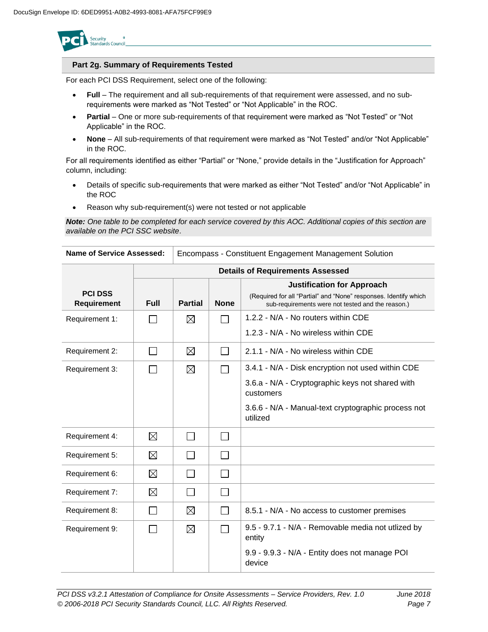

### **Part 2g. Summary of Requirements Tested**

For each PCI DSS Requirement, select one of the following:

- **Full** The requirement and all sub-requirements of that requirement were assessed, and no subrequirements were marked as "Not Tested" or "Not Applicable" in the ROC.
- **Partial** One or more sub-requirements of that requirement were marked as "Not Tested" or "Not Applicable" in the ROC.
- **None** All sub-requirements of that requirement were marked as "Not Tested" and/or "Not Applicable" in the ROC.

For all requirements identified as either "Partial" or "None," provide details in the "Justification for Approach" column, including:

- Details of specific sub-requirements that were marked as either "Not Tested" and/or "Not Applicable" in the ROC
- Reason why sub-requirement(s) were not tested or not applicable

*Note: One table to be completed for each service covered by this AOC. Additional copies of this section are available on the PCI SSC website*.

| Name of Service Assessed:            |             | Encompass - Constituent Engagement Management Solution |                          |                                                                                                                                                            |  |
|--------------------------------------|-------------|--------------------------------------------------------|--------------------------|------------------------------------------------------------------------------------------------------------------------------------------------------------|--|
|                                      |             | <b>Details of Requirements Assessed</b>                |                          |                                                                                                                                                            |  |
| <b>PCI DSS</b><br><b>Requirement</b> | <b>Full</b> | <b>Partial</b>                                         | <b>None</b>              | <b>Justification for Approach</b><br>(Required for all "Partial" and "None" responses. Identify which<br>sub-requirements were not tested and the reason.) |  |
| Requirement 1:                       |             | ⊠                                                      | $\mathbf{I}$             | 1.2.2 - N/A - No routers within CDE                                                                                                                        |  |
|                                      |             |                                                        |                          | 1.2.3 - N/A - No wireless within CDE                                                                                                                       |  |
| Requirement 2:                       |             | ⊠                                                      | $\overline{\phantom{a}}$ | 2.1.1 - N/A - No wireless within CDE                                                                                                                       |  |
| Requirement 3:                       |             | ⊠                                                      | $\mathbb{R}^n$           | 3.4.1 - N/A - Disk encryption not used within CDE                                                                                                          |  |
|                                      |             |                                                        |                          | 3.6.a - N/A - Cryptographic keys not shared with<br>customers                                                                                              |  |
|                                      |             |                                                        |                          | 3.6.6 - N/A - Manual-text cryptographic process not<br>utilized                                                                                            |  |
| Requirement 4:                       | ⊠           |                                                        | $\perp$                  |                                                                                                                                                            |  |
| Requirement 5:                       | $\boxtimes$ |                                                        | $\mathsf{L}$             |                                                                                                                                                            |  |
| Requirement 6:                       | $\boxtimes$ | $\sim$                                                 | $\Box$                   |                                                                                                                                                            |  |
| Requirement 7:                       | $\boxtimes$ | $\mathcal{L}_{\mathcal{A}}$                            | $\mathcal{L}$            |                                                                                                                                                            |  |
| Requirement 8:                       |             | $\boxtimes$                                            | $\mathsf{L}$             | 8.5.1 - N/A - No access to customer premises                                                                                                               |  |
| Requirement 9:                       |             | ⊠                                                      |                          | 9.5 - 9.7.1 - N/A - Removable media not utlized by<br>entity                                                                                               |  |
|                                      |             |                                                        |                          | 9.9 - 9.9.3 - N/A - Entity does not manage POI<br>device                                                                                                   |  |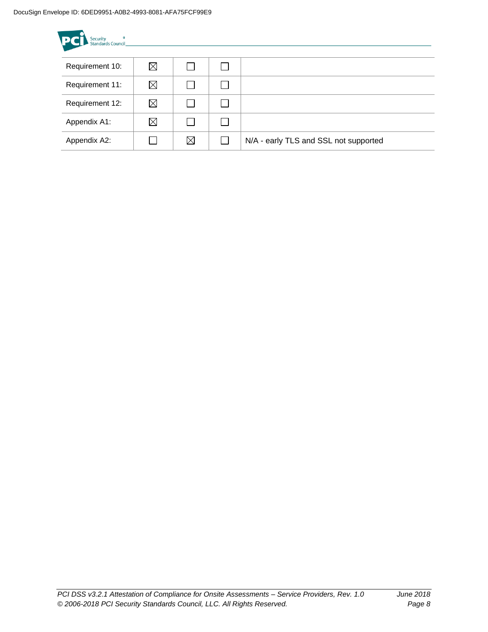| Ø<br>Security<br>Standards Council<br><b>PC</b> |             |             |  |                                       |  |  |
|-------------------------------------------------|-------------|-------------|--|---------------------------------------|--|--|
| Requirement 10:                                 | ⊠           |             |  |                                       |  |  |
| Requirement 11:                                 | $\boxtimes$ |             |  |                                       |  |  |
| Requirement 12:                                 | $\boxtimes$ |             |  |                                       |  |  |
| Appendix A1:                                    | $\boxtimes$ |             |  |                                       |  |  |
| Appendix A2:                                    |             | $\boxtimes$ |  | N/A - early TLS and SSL not supported |  |  |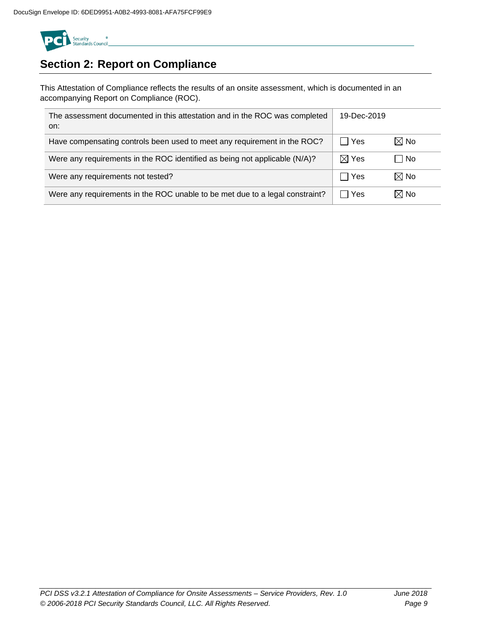

# **Section 2: Report on Compliance**

This Attestation of Compliance reflects the results of an onsite assessment, which is documented in an accompanying Report on Compliance (ROC).

| The assessment documented in this attestation and in the ROC was completed<br>on: | 19-Dec-2019           |                |
|-----------------------------------------------------------------------------------|-----------------------|----------------|
| Have compensating controls been used to meet any requirement in the ROC?          | $\Box$ Yes            | $\boxtimes$ No |
| Were any requirements in the ROC identified as being not applicable (N/A)?        | $\boxtimes$ Yes       | l No           |
| Were any requirements not tested?                                                 | Yes<br>$\blacksquare$ | $\boxtimes$ No |
| Were any requirements in the ROC unable to be met due to a legal constraint?      | Yes                   | $\boxtimes$ No |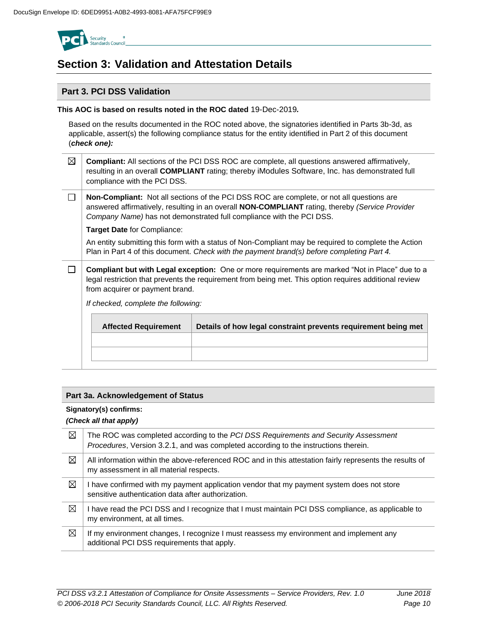

## **Section 3: Validation and Attestation Details**

### **Part 3. PCI DSS Validation**

### **This AOC is based on results noted in the ROC dated** 19-Dec-2019*.*

Based on the results documented in the ROC noted above, the signatories identified in Parts 3b-3d, as applicable, assert(s) the following compliance status for the entity identified in Part 2 of this document (*check one):*

| $\boxtimes$   Compliant: All sections of the PCI DSS ROC are complete, all questions answered affirmatively, |
|--------------------------------------------------------------------------------------------------------------|
| resulting in an overall COMPLIANT rating; thereby iModules Software, Inc. has demonstrated full              |
| compliance with the PCI DSS.                                                                                 |

 $\Box$ **Non-Compliant:** Not all sections of the PCI DSS ROC are complete, or not all questions are answered affirmatively, resulting in an overall **NON-COMPLIANT** rating, thereby *(Service Provider Company Name)* has not demonstrated full compliance with the PCI DSS.

**Target Date** for Compliance:

An entity submitting this form with a status of Non-Compliant may be required to complete the Action Plan in Part 4 of this document. *Check with the payment brand(s) before completing Part 4.*

 $\Box$ **Compliant but with Legal exception:** One or more requirements are marked "Not in Place" due to a legal restriction that prevents the requirement from being met. This option requires additional review from acquirer or payment brand.

*If checked, complete the following:*

| <b>Affected Requirement</b> | Details of how legal constraint prevents requirement being met |
|-----------------------------|----------------------------------------------------------------|
|                             |                                                                |
|                             |                                                                |
|                             |                                                                |

### **Part 3a. Acknowledgement of Status**

### **Signatory(s) confirms:**

### *(Check all that apply)*

| ⊠ | The ROC was completed according to the PCI DSS Requirements and Security Assessment<br>Procedures, Version 3.2.1, and was completed according to the instructions therein. |
|---|----------------------------------------------------------------------------------------------------------------------------------------------------------------------------|
| ⊠ | All information within the above-referenced ROC and in this attestation fairly represents the results of<br>my assessment in all material respects.                        |
| ⊠ | I have confirmed with my payment application vendor that my payment system does not store<br>sensitive authentication data after authorization.                            |
| ⊠ | I have read the PCI DSS and I recognize that I must maintain PCI DSS compliance, as applicable to<br>my environment, at all times.                                         |
| ⊠ | If my environment changes, I recognize I must reassess my environment and implement any<br>additional PCI DSS requirements that apply.                                     |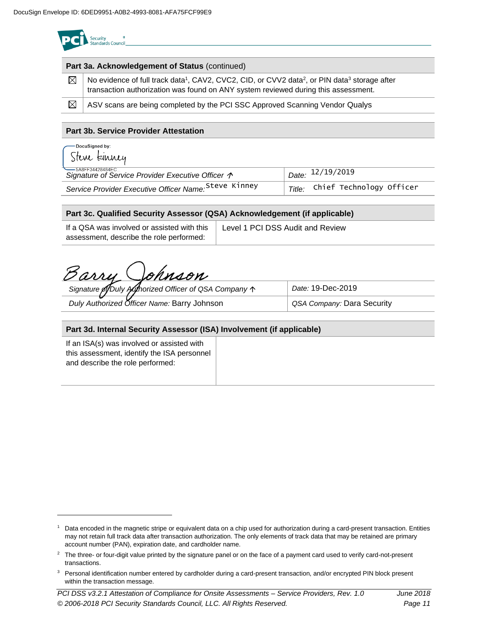| <b>Part 3a. Acknowledgement of Status</b> (continued) |                                                                                                                                                                                                                         |  |  |
|-------------------------------------------------------|-------------------------------------------------------------------------------------------------------------------------------------------------------------------------------------------------------------------------|--|--|
| $\boxtimes$                                           | No evidence of full track data <sup>1</sup> , CAV2, CVC2, CID, or CVV2 data <sup>2</sup> , or PIN data <sup>3</sup> storage after<br>transaction authorization was found on ANY system reviewed during this assessment. |  |  |
| ⊠                                                     | ASV scans are being completed by the PCI SSC Approved Scanning Vendor Qualys                                                                                                                                            |  |  |

### **Part 3b. Service Provider Attestation**

| ∙DocuSigned by:<br>Steve kinney                                                 |                                   |
|---------------------------------------------------------------------------------|-----------------------------------|
| — 5A8FF34428484FC<br>Signature of Service Provider Executive Officer $\uparrow$ | $\overline{D}$ Date: $12/19/2019$ |
| Service Provider Executive Officer Name: Steve Kinney                           | Title: Chief Technology Officer   |

### **Part 3c. Qualified Security Assessor (QSA) Acknowledgement (if applicable)**

| If a QSA was involved or assisted with this | Level 1 PCI DSS Audit and Review |
|---------------------------------------------|----------------------------------|
| assessment, describe the role performed:    |                                  |

Barry Johnson

| Signature of Duly Authorized Officer of QSA Company 1 | Date: 19-Dec-2019          |
|-------------------------------------------------------|----------------------------|
| Duly Authorized Officer Name: Barry Johnson           | QSA Company: Dara Security |

### **Part 3d. Internal Security Assessor (ISA) Involvement (if applicable)**

If an ISA(s) was involved or assisted with this assessment, identify the ISA personnel and describe the role performed:

<sup>1</sup> Data encoded in the magnetic stripe or equivalent data on a chip used for authorization during a card-present transaction. Entities may not retain full track data after transaction authorization. The only elements of track data that may be retained are primary account number (PAN), expiration date, and cardholder name.

<sup>&</sup>lt;sup>2</sup> The three- or four-digit value printed by the signature panel or on the face of a payment card used to verify card-not-present transactions.

<sup>&</sup>lt;sup>3</sup> Personal identification number entered by cardholder during a card-present transaction, and/or encrypted PIN block present within the transaction message.